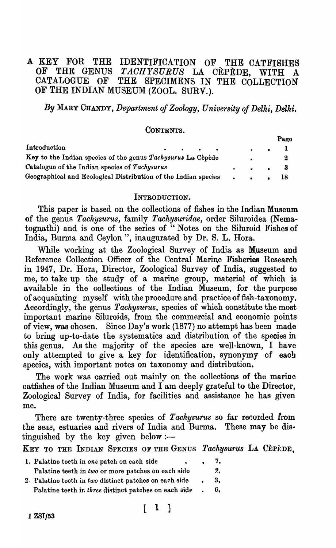# A KEY FOR THE IDENTIFICATION OF THE CATFISHES OF THE GENUS *TACHYSURUS* LA CÈPÈDE, WITH A OF THE GENUS *TACHYSURUS* LA CÈPÈDE, WITH A<br>CATALOGUE OF THE SPECIMENS IN THE COLLECTION THE SPECIMENS IN THE COLLECTION OF THE INDIAN MUSEUM (ZOOL. SURV.).

*By* MARY CHANDY, *Department of Zoology, University of Delhi, Delhi.* 

# CONTENTS.

|                                                                |                                         |  |                            | Pago |
|----------------------------------------------------------------|-----------------------------------------|--|----------------------------|------|
| Introduction                                                   | $\bullet$ $\bullet$ $\bullet$ $\bullet$ |  |                            |      |
| Key to the Indian species of the genus Tachysurus La Cèpède    |                                         |  |                            |      |
| Catalogue of the Indian species of Tachysurus                  |                                         |  | . 3                        |      |
| Geographical and Ecological Distribution of the Indian species |                                         |  | $\cdot$ $\cdot$ $\cdot$ 18 |      |

#### INTRODUCTION.

This paper is based on the collections of fishes in the Indian Museum of the genus *Tachysurus,* family *Tachysuridae,* order Siluroidea (Nematognathi) and is one of the series of " Notes on the Siluroid Fishes of India, Burma and Ceylon", inaugurated by Dr. S. L. Hora.

While working at the Zoological Survey of India as Museum and Reference Collection Officer of the Central Marine Fisheries Research in 1947, Dr. Hora, Director, Zoological Survey of India, suggested to me, to take up the study of a marine group, material of whioh is available in the collections of the Indian Museum, for the purpose of acquainting myself with the procedure and practice of fish-taxonomy. Accordingly, the genus *Tachysurus,* speoies of which constitute the most important marine Siluroids, from the commercial and economic points of view, was chosen. Since Day's work (1877) no attempt has been made to bring up-to-date the systematics and distrihution of the speoies in this genus. As the majority of the species are well-known, I have only attempted to give a key for identification, synonymy of each species, with important notes on taxonomy and distribution.

The work was carried out mainly on the collections of the marine oatfishes of the Indian Museum and I am deeply grateful to the Director, Zoological Survey of India, for facilities and assistanoe he has given me.

There are twenty-three species of *Tachysurus* so far recorded from the seas, estuaries and rivers of India and Burma. These may be distinguished by the key given below: $-$ 

KEY TO THE INDIAN SPECIES OF THE GENUS *Tachysurus* LA CEPEDE.

| 1. Palatine teeth in one patch on each side            |           | 7.   |
|--------------------------------------------------------|-----------|------|
| Palatine teeth in two or more patches on each side     |           | 2.   |
| 2. Palatine teeth in two distinct patches on each side | $\bullet$ | - 3, |
| Palatine teeth in three distinct patches on each side  |           | 6.   |

# $\lceil$  1 ]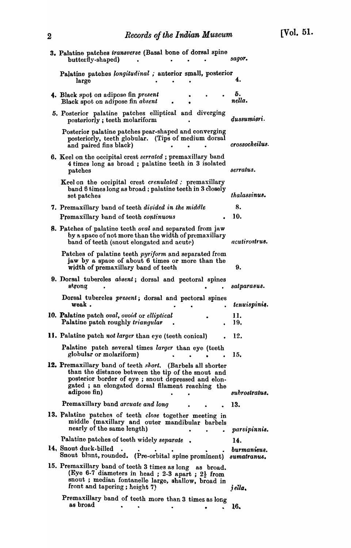| י | 1000000000                                                                                                                                                                                                                                         |                            |
|---|----------------------------------------------------------------------------------------------------------------------------------------------------------------------------------------------------------------------------------------------------|----------------------------|
|   | 3. Palatine patches transverse (Basal bone of dorsal spine<br>butterfly-shaped)                                                                                                                                                                    | sagor.                     |
|   | Palatine patches longitudinal ; anterior small, posterior<br>large                                                                                                                                                                                 | 4.                         |
|   | 4. Black spot on adipose fin present<br>Black spot on adipose fin absent                                                                                                                                                                           | 5.<br>nella.               |
|   | 5. Posterior palatine patches elliptical and diverging<br>posteriorly; teeth molariform                                                                                                                                                            | dussumieri.                |
|   | Posterior palatine patches pear-shaped and converging<br>posteriorly, teeth globular. (Tips of medium dorsal<br>and paired fins black)                                                                                                             | crossocheilus.             |
|   | <b>6.</b> Keel on the occipital crest serrated; premaxillary band<br>4 times long as broad; palatine teeth in 3 isolated<br>patches                                                                                                                | serratus.                  |
|   | Keel on the occipital crest crenulated : premaxillary<br>band 6 times long as broad; palatine teeth in 3 closely<br>set patches                                                                                                                    | thalassinus.               |
|   | 7. Premaxillary band of teeth <i>divided in the middle</i>                                                                                                                                                                                         | 8.                         |
|   | Premaxillary band of teeth continuous                                                                                                                                                                                                              | 10.                        |
|   | <b>8.</b> Patches of palatine teeth <i>oral</i> and separated from jaw<br>by a space of not more than the width of premaxillary<br>band of teeth (snout elongated and acute)                                                                       | acutirostrus.              |
|   | Patches of palatine teeth pyriform and separated from<br>jaw by a space of about 6 times or more than the<br>width of premaxillary band of teeth                                                                                                   | 9.                         |
|   | 9. Dorsal tubercles absent; dorsal and pectoral spines<br>strong                                                                                                                                                                                   | satparasus.                |
|   | Dorsal tubercles present; dorsal and pectoral spines<br>weak.                                                                                                                                                                                      | tenuispinią.               |
|   | 10. Palatine patch oval, ovoid or elliptical<br>Palatine patch roughly triangular                                                                                                                                                                  | 11.<br>19,                 |
|   | 11. Palatine patch not larger than eye (teeth conical)                                                                                                                                                                                             | 12.                        |
|   | Palatine patch several times larger than eye (teeth<br>globular or molariform)                                                                                                                                                                     | 15.                        |
|   | 12. Premaxillary band of teeth <i>short</i> . (Barbels all shorter<br>than the distance between the tip of the snout and<br>posterior border of eye; snout depressed and elon-<br>gated; an elongated dorsal filament reaching the<br>adipose fin) | subrostratus.              |
|   | Premaxillary band arcuate and long                                                                                                                                                                                                                 | 13.                        |
|   | 13. Palatine patches of teeth close together meeting in                                                                                                                                                                                            |                            |
|   | middle (maxillary and outer mandibular barbels<br>nearly of the same length)                                                                                                                                                                       | parvipinnis.               |
|   | Palatine patches of teeth widely separate                                                                                                                                                                                                          | 14.                        |
|   | 14, Snout duck-billed<br>Snout blant, rounded. (Pre-orbital spine prominent)                                                                                                                                                                       | burmanieus.<br>sumatranus. |
|   | 15. Premaxillary band of teeth 3 times as long as broad.<br>(Eye 6-7 diameters in head; 2-3 apart; $2\frac{1}{2}$ from<br>snout; median fontanelle large, shallow, broad in<br>front and tapering; height 7)                                       | jella.                     |
|   | Premaxillary band of teeth more than 3 times as long<br>as broad                                                                                                                                                                                   | 16.                        |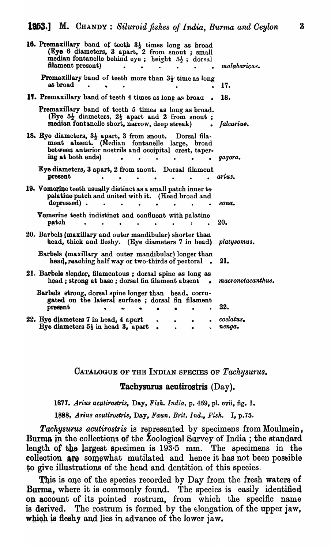| 16. Premaxillary band of teeth $3\frac{1}{2}$ times long as broad<br>(Eye 6 diameters, 3 apart, 2 from snout; small<br>median fontanelle behind eye; height 52; dorsal<br>filament present)          | malabaricus.        |
|------------------------------------------------------------------------------------------------------------------------------------------------------------------------------------------------------|---------------------|
| Premaxillary band of teeth more than 3 <sup>1</sup> / <sub>2</sub> time as long<br>as broad                                                                                                          | 17.                 |
| 17. Premaxillary band of teeth 4 times as long as broad                                                                                                                                              | 18.                 |
| Premaxillary band of teeth 5 times as long as broad.<br>(Eye $5\frac{1}{2}$ diameters, $2\frac{1}{2}$ apart and 2 from snout;<br>median fontanelle short, narrow, deep streak)                       | falcarius.          |
| 18. Eye diameters, $3\frac{1}{2}$ apart, 3 from snout.<br>Dorsal fila-<br>ment absent. (Median fontanelle large, broad<br>between anterior nostrils and occipital crest, taper-<br>ing at both ends) | gagora.             |
| Eye diameters, 3 apart, 2 from snout. Dorsal filament<br>present                                                                                                                                     | arius.              |
| 19. Vomerine teeth usually distinct as a small patch inner to<br>palatine patch and united with it. (Head broad and<br>depressed).                                                                   | sona.               |
| Vomerine teeth indistinct and confluent with palatine<br>patch                                                                                                                                       | 20.                 |
| 20. Barbels (maxillary and outer mandibular) shorter than<br>head, thick and fleshy. (Eye diameters 7 in head)                                                                                       | platysomus.         |
| Barbels (maxillary and outer mandibular) longer than<br>head, reaching half way or two-thirds of pectoral                                                                                            | 21.                 |
| 21. Barbels slender, filamentous; dorsal spine as long as<br>head; strong at base; dorsal fin filament absent<br>$\sim$                                                                              | macronotacanthus.   |
| Barbels strong, dorsal spine longer than head, corru-<br>gated on the lateral surface; dorsal fin filament<br>present                                                                                | 22.                 |
| 22. Eye diameters 7 in head, 4 apart<br>Eye diameters $5\frac{1}{2}$ in head 3, apart<br>$\bullet$<br>ų.                                                                                             | coelatus.<br>nenga. |

CATALOGUE OF THE INDIAN SPECIES OF *Tachysurus.* 

### Tachysurus acutirostris (Day).

1877. Arius acutirostris, Day, Fish. India. p. 459, pl. ovii, fig. 1.

l~8~, *A,iu8 acutf,rostria,* Day, *Faun, Brit. Ind., Fish.* I, p.75.

*Tachysurus acutirostris* is represented by specimens from Moulmein, Burma in the collections of the Zoological Survey of India; the standard length of the largest specimen is  $193.5$  mm. The specimens in the collection are somewhat mutilated and hence it has not been possible to give illustrations of the head and dentition of this species.

This is one of the species recorded by Day from the fresh waters of Burma, where it is commonly found. The species is easily identified on account of its pointed rostrum, from which the specific name is derived. The rostrum is formed by the elongation of the upper jaw, which is fleshy and lies in advance of the lower jaw.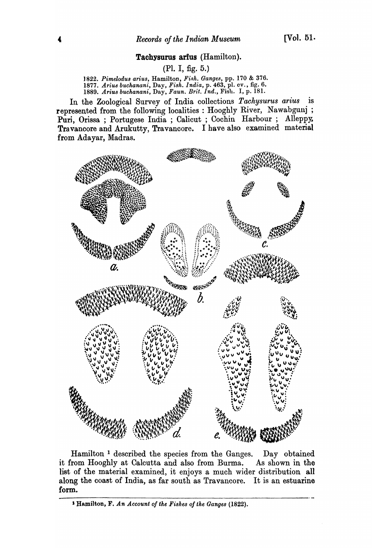### Tachysurus arfus (Hamilton).

(PI. I, fig. 5.)

) 822. *Pimelodu8 arius,* Hamilton, *Fi.c;h. Ganges,* pp. 170 & 376. *1877. Ariu8 buchanani,* Day, *Fish. India,* p. 463, pI. ev., fig. 6. *1889. Arius buchanani,* Day, *Faun. Brit. Ind.,* Fish. I, p. 181.

In the Zoological Survey of India collections *Tachysurus arius* is represented from the following localities: Hooghly River, Nawabgunj; Puri, Orissa ; Portugese India ; Calicut ; Cochin Harbour ; Alleppy. Travancore and Arukutty, Travancore. I have also examined material from Adayar, Madras.



Hamilton 1 described the species from the Ganges. Day obtained it from Hooghly at Calcutta and also from Burma. As shown in the list of the material examined, it enjoys a much wider distribution all along the coast of India, as far south as Travancore. It is an estuarine form.

<sup>1</sup> Hamilton, F. An Account of the Fishes of the Ganges (1822).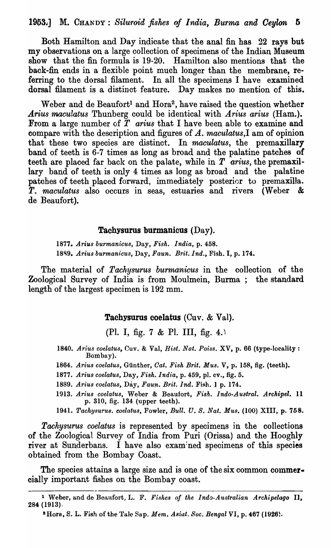Both Hamilton and Day indicate that the anal fin has 22 rays but my observations on a large collection of specimens of the Indian Museum show that the fin formula is 19-20. Hamilton also mentions that the back-fin ends in a flexible point much longer than the membrane, referring to the dorsal filament. In all the specimens I have examined dorsal filament is a distinct feature. Day makes no mention of this.

Weber and de Beaufort<sup>1</sup> and Hora<sup>2</sup>, have raised the question whether Arius maculatus Thunberg could be identical with *Arius arius* (Ham.). From a large number of  $\overline{T}$  arius that I have been able to examine and compare with the description and figures of *A. maculatus,I* am of opinion that these two species are distinct. In *maculatus,* the premaxillary band of teeth is 6-7 times as long as broad and the palatine patches of teeth are placed far back on the palate, while in *T arius,* the premaxillary band of teeth is only 4 times as long as broad and the palatine patches of teeth placed forward, immedia tely posterior to premaxilla. *T. maculatus* also occurs in seas, estuaries and rivers (Weber & de Beaufort).

### Tachysurus burmanicus (Day).

*1877. Arius burman·icus,* Day, *Fish. 1 ndia,* p. 458. 1889. *Arius burmanicus, Day, Faun. Brit. Ind.*, Fish. I, p. 174.

The material of *Tachysurus burmanicus* in the colleotion of the Zoological Survey of India is from Moulmein, Burma; the standard length of the largest specimen is 192 mm.

### Tachysurus coelatus (Cuv. & Val).

(PI. I, fig. 7 & PI. III, fig. 4.)

*1840. Arius coelatus,* Cuv. & Val, *Hist. Nat. Poiss.* XV, p. 66 (type-locality: Bombay).

- 1864. Arius coelatus, Günther, *Cat. Fish Brit. Mus. V*, p. 158, fig. (teeth).
- *1877. Arius coelatus,* Day, *Fish. India,* p. 459, p1. ev., fig. 5.
- 1889. Arius coelatus, Day, Faun. Brit. Ind. Fish. 1 p. 174.
- 1913. Arius coelatus, Weber & Beaufort, Fish. Indo-Austral. Archipel. 11 p. 310, fig. 134 (upper teeth).
- *1941. Tachysurus. coelatus,* Fowler, *Bull. U. S. Nat. Mus.* (100) XIII, p. 758.

*Tachysurus coelatus* is represented by specimens in the collections of the Zoological Survey of India from Puri (Orissa) and the Hooghly river at Sunderbans. I have also examined specimens of this species obtained from the Bombay Coast.

The species attains a large size and is one of the six common commercially important fishes on the Bombay coast.

<sup>&</sup>lt;sup>1</sup> Weber, and de Beaufort, L. F. *Fishes of the Indo-Australian Archipelago* **II**, 284 (1913).

<sup>&</sup>lt;sup>2</sup>Hora, S. L. Fish of the Tale Sap. Mem. Asiat. Soc. Bengal VI, p. 467 (1926).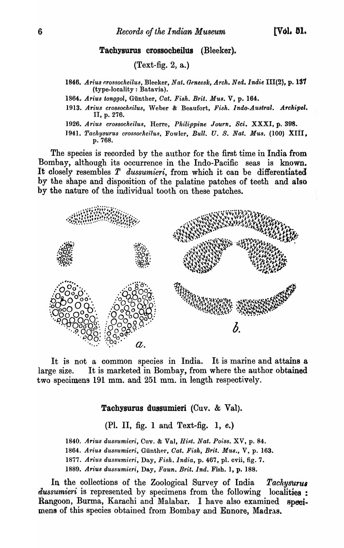### Tachysurus crossocheilus (Bleeker).

# (Text-fig. 2, a.)

- 1846. *Ariu8 t'/ro.9socheilu8,* Bleeker, *Nat. Geneesk, Arch. Ned.lndie* 111(2), p. 131 (type-IocaJity : Batavia).
- 1864. Arius tonggol, Günther, *Cat. Fish. Brit. Mus.* V, p. 164.
- 1913. Arius crossocheilus, Weber & Beaufort, Fish. Indo-Austral. Archipel. II, p. 276.
- 1926. Arius crossocheilus, Herre, Philippine Journ. Sci. XXXI, p. 398.
- 1941. Tachysurus crossocheilus, Fowler, *Bull. U. S. Nat. Mus.* (100) XIII, p.768.

The species is recorded by the author for the first time in India from Bombay, although its occurrence in the Indo-Pacific seas is known. It closely resembles T *dussumieri,* from which it can be differentiated by the shape and disposition of the palatine patches of teeth and also by the nature of the individual tooth on these patches .



It is not a common species in India. It is marine and attains a large size. It is marketed in Bombay, from where the author obtained two specimens 191 mm. and 251 mm. in length respectively.

### Tachysurus dussumieri (Cuv. & Val).

(PI. II, fig. 1 and Text-fig. 1, e.)

1840. Arius dussumieri, Cuv. & Val, Hist. Nat. Poiss. XV, p. 84. 1864. Arius dussumieri, Günther, Cat. Fish, Brit. Mus., V, p. 163. *1877. Ari'lts duss1tmieri,* Day, *Fish. India,* p. 467, pI. cvii, fig. 7. *1889. Arius dussumieri,* Day, *Faun. Brit. Ind.* Fish. 1, p. 188.

In the collections of the Zoological Survey of India *Tachysurus*  $dussumieri$  is represented by specimens from the following localities: Rangoon, Burma, Karachi and Malabar. I have also examined specimens of this species obtained from Bombay and Ennore, Madras.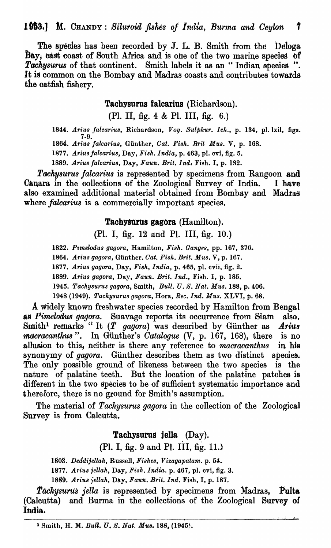The species has been recorded by J. L. B. Smith from the Deloga Bay; east coast of South Africa and is one of the two marine species of Tachysurus of that continent. Smith labels it as an "Indian species". It is common on the Bombay and Madras coasts and contributes towards the catfish fishery.

Tachysurus falcarius (Richardson).

(Pl. II, fig. 4  $&$  Pl. III, fig. 6.)

1844. Arius falcarius, Richardson, Voy. Sulphur. Ich., p. 134, pl. lxil, figs. 7-9.

1864. Arius falcarius, Günther, Cat. Fish. Brit Mus. V, p. 168.

*1877. Ariu8 falearius,* Day, *Fish. India,* p. 463, pI. cvi, fig. 5.

1889. *Arius falcarius, Day, Faun. Brit. Ind.* Fish. I, p. 182.

Tachysurus falcarius is represented by specimens from Rangoon and Canara in the collections of the Zoological Survey of India. I have also examined additional material obtained from Bombay and Madras where *falcarius* is a commercially important species.

### Tachysurus gagora (Hamilton).

(PI. I, fig. 12 and PI. III, fig. 10.)

1822. *Pimelodus gagora*, Hamilton, *Fish. Ganges*, pp. 167, 376.

1864. *Arius gagora, Günther, Cat. Fish. Brit. Mus. V, p.* 167.

*1877. Arius gagora,* Day, *Fish, India,* p. 465, pI. cvii, fig. 2.

*1889. Arius gagora,* Day, *Faun. Brit. Ind.,* Fish. I, p. 185.

1945. *Taehysurus gagora,* Smith~ *Bull.* U. *S. Nat. Mus.* 188, p. 406.

1948 (1949). *Taehysurus gagora,* Hora, *Bee. Ind. Mus.* XLVI, p. 68.

A widely known freshwater species recorded by Hamilton from Bengal as *Pimelodus gagora*. Suavage reports its occurrence from Siam also. Smith<sup>1</sup> remarks "It (T *gagora*) was described by Günther as *Arius macracanthus".* In Günther's *Catalogue* (V, p. 167, 168), there is no allusion to this, neither is there any reference to *macracanthus* in his synonymy of *gagora*. Günther describes them as two distinct species. The only possible ground of likeness between the two species is the nature of palatine teeth. But the location of the palatine patches is different in the two species to be of suffioient systematic importance and therefore, there is no ground for Smith's assumption.

The material of *Tachysurus gagora* in the collection of the Zoological Survey is from Calcutta.

## Tachysurus jella (Day).

(PI. I, fig. 9 and PI. III, fig. 11.l

180S. *Deddijellah,* Russell, *Fishes, Vizagapatam.* p. 5'.

1877. Arius jellah, Day, Fish. India. p. 467, pl. cvi, fig. 3.

18S~. *Arius fellah,* Day, *Faun. Brit. Ind.* Fish, I, p. 187.

Tachysurus *jella* is represented by specimens from Madras, Pulta (Calcutta) and Burma in the collections of the Zoological Survey of India,

»

I I I

<sup>1</sup> Smith, H. M. *BuU. l'. S. Nat. MU8.* 188, (1945).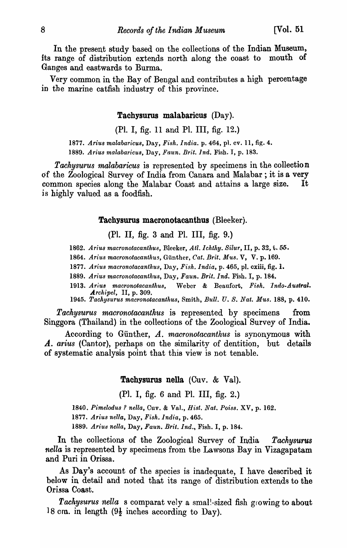In the present study based on the collections of the Indian Museum, its range of distribution extends north along the coast to mouth of Ganges and eastwards to Burma.

Very common in the Bay of Bengal and contributes a high percentage in the marine catfish industry of this province.

### Tachysurus malabaricus (Day).

(PI. I, fig. 11 and PI. III, fig. 12.)

*1877. Arius malabaricus,* Day, *Fislt. India.* p. 464, pl. ev. 11, fig. 4. *1889. Arius malabaricus,* Day, *Faun. Brit. Ind.* Fish. I, p. 183.

*Tachysurus malabaricus* is represented by specimens in the collection of the Zoological Survey of India from Canara and Malabar; it is a very common species along the Malabar Coast and attains a large size. It is highly valued as a foodfish.

### Tachysurus macronotacanthus (Bleeker).

(PI. II, fig. 3 and PI. III, fig. 9.)

1862. Arius macronotacanthus, Bleeker, Atl. Ichthy. Silur, II, p. 32, t. 55.

*1864. Arius macronotacantllus,* Gunther, *Cat. Brit. Mus.* V, V. p. 169.

*1877. Arius macronotacantllus,* Day, *Fish. India,* p. 465, pI. exiii, fig. 1.

- *1889. Ariu8 macronotacantltus,* Day, *Faun. Brit. Ind.* Fish. I, p. 184.
- *1913. Ariu8 macronotacantltus,* Weber & Beaufort, *Fish. Indo-Austral. Archipel,* II, p. 309.
- *1945. Tackysurus macronotacantltus,* Smith, *Bull. U. S. Nat. Mus.* 188, p. 410.

*Tachysurus macronotacanthus* is represented by specimens from Singgora (Thailand) in the collections of the Zoological Survey of India.

According to Gunther, *A. macronotacanthus* is synonymous with A. arius (Cantor), perhaps on the similarity of dentition, but details of systematic analysis point that this view is not tenable.

## Tachysurus nella  $(Cuv. & Val)$ .

(PI. I, fig. 6 and PI. III, fig. 2.)

*1840. Pimelodu8* ? *nella,* Cuv. & Val., *Hist. Nat. Pois8.* XV, p. 162.

*1877. Ariu8 nella,* Day, *Fish. India,* p. 465.

1889. *Ariu8 nella,* Day, *Faun. Brit. Ind.,* Fish. I, p. 184.

In the collections of the Zoological Survey of India *Tachysurus nella* is represented by specimens from tbe Lawsons Bay in Vizagapatam and Puri in Orissa.

As Day's account of the species is inadequate, I have described it below in detail and noted that its range of distribution extends to the Orissa Coast.

Tachysurus nella s comparat vely a smal!-sized fish growing to about 18 cm. in length  $(9\frac{1}{2})$  inches according to Day).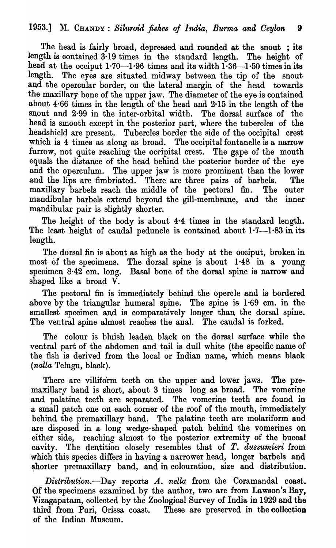The head is fairly broad, depressed and rounded at the snout; its length is contained 3·19 times in the standard length. The height of head at the occiput  $1.70-1.96$  times and its width  $1.36-1.50$  times in its length. The eyes are situated midway between the tip of the snout and the opercular border, on the lateral margin of the head towards the maxillary bone of the upper jaw. The diameter of the eye is contained about 4·66 times in the length of the head and 2-15 in the length of the snout and 2·99 in the inter-orbital width. The dorsal surface of the head is smooth except in the posterior part, where the tubercles of the headshield are present. Tubercles border the side of the occipital crest which is 4 times as along as broad. The occipital fontanelle is a narrow furrow, not quite reaching the occipital crest. The gape of the mouth equals the distance of the head behind the posterior border of the eye and the operculum. The upper jaw is more prominent than the lower and the lips are fimbriated. There are three pairs of barbels. The maxillary barbels reach the middle of the pectoral fin. The outer mandibular barbels extend beyond the gill-membrane, and the inner mandibular pair is slightly shorter.

The height of the body is about 4·4 times in the standard length. The least height of caudal peduncle is contained about  $1.7-1.83$  in its length.

The dorsal fin is about as high as the body at the occiput, broken in most of the specimens. The dorsal spine is about 1·48 in a young specimen 8·42 cm. long. Basal bone of the dorsal spine is narrow and shaped like a broad V.

The pectoral fin is immediately behind the opercle and is bordered above by the triangular humeral spine. The spine is 1·69 cm. in the smallest specimen and is comparatively longer than the dorsal spine. The ventral spine almost reaches the anal. The caudal is forked.

The colour is bluish leaden black on the dorsal surface while the ventral part of the abdomen and tail is dull white (the specific name of the fish is derived from the local or Indian name, which means black *(nalla* Telugu., blaok).

There are villiform teeth on the upper and lower jaws. The premaxillary band is short, about 3 times long as broad. The vomerine and palatine teeth are separated. The vomerine teeth are found in a small patch one on each corner of the roof of the mouth, immediately behind the premaxillary band. The palatine teeth are molariform and are disposed in a long wedge-shaped patch behind the vomerines on either side, reaching almost to the posterior extremity of the buccal cavity. The dentition closely resembles that of *T. dussumieri* from which this species differs in having a narrower head, longer barbels and shorter premaxillary band, and in colouration, size and distribution.

*Distribution.-Day* reports *A. nella* from the Coramandal coast. Of the specimens examined by the author, two are from Lawson's Bay, Vizagapatam, collected by the Zoological Survey of India in 1929 and the third from Puri, Orissa coast. These are preserved in the collection of the Indian Museum.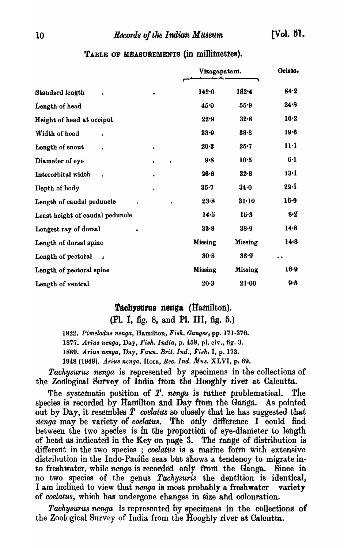### 10 Records of the Indian Museum

|                                        |           |                | Vizagapatam.   |              |
|----------------------------------------|-----------|----------------|----------------|--------------|
| Standard length                        |           | 142.0          | 182.4          | 84.2         |
| Length of head                         |           | 45.0           | 55.9           | 24.8         |
| Height of head at occiput              |           | 22.9           | 32.8           | $16-2$       |
| Width of head                          |           | 33.0           | 38.8           | 19.6         |
| Length of snout                        | $\bullet$ | $20 - 3$       | 25.7           | 11·1         |
| Diameter of eye                        | $\bullet$ | 9.8            | 10.5           | $6 - 1$      |
| Interorbital width<br>$\pmb{\cdot}$    | $\bullet$ | $26 - 8$       | $32 - 8$       | 13·1         |
| Depth of body                          |           | $35 - 7$       | 34.0           | $22 \cdot 1$ |
| Length of caudal peduncle              |           | 23.8           | 31.10          | $16 - 9$     |
| Least height of caudal peduncle        |           | 14.5           | $15-3$         | 8·2          |
| Longest ray of dorsal                  |           | 33.8           | $38 - 9$       | $14-8$       |
| Length of dorsal spine                 |           | Missing        | <b>Missing</b> | $14-8$       |
| Length of pectoral<br>$\ddot{\bullet}$ |           | 30.8           | 38.9           | $\bullet$    |
| Length of pectoral spine               |           | <b>Missing</b> | <b>Missing</b> | 16.9         |
| Length of ventral                      |           | $20-3$         | $21 - 00$      | $9 - 5$      |

# TABLE OF MEASUREMENTS (in millimetres).

# Tachysurus nenga (Hamilton).

(Pl. I, fig. 8, and Pl. III, fig. 5.)

*1822. Pimelodu8 nenga,* Hamilton\_ *Fi8h. Gange8,* pp. 171-376.

*1877. Ariu8 nenga,* Day, *Fi8h.India,* p. 458, p1. civ., fig. 3.

Ig8~. *Arius nenga,* Day, *I'aun. Brit.ind., Fish.* t, p. 173.

1948 (1\J49). *Ariu8 nenga,* Hora, *Bee. Ind. Mus.* XLVI, Pi 69.

*Tachysurus nenga* is represented by specimens in the collections of the Zoological Survey of India from the Hooghly river at Calcutta.

The systematic position of T. nenga is rather problematical. The species is recorded by Hamilton and Day from the Ganga. As pointed out by Day, it resembles  $T$  *coelatus* so closely that he has suggested that nenga may be variety of *coelatus*. The only difference I could find between the two species is in the proportion of eye-diameter to length of head as indicated in the Key on page 3. The range of distribution is different in the two species ; *coelatus* is a marine form with extensive distribution in the Indo-Pacific Seas but shows a tendency to migrate into freshwater, while *nenga* is recorded only from the Ganga. Since in no two species of the genus *Taohysuris* the dentition is identical, I am inclined to view that *nenga* is most probably a freshwater variety of *coelatus*, which has undergone changes in size and colouration.

*Tachysurus nenga* is represented by specimens in the collections of the Zoological Survey of India from the Hooghly river at Calcutta.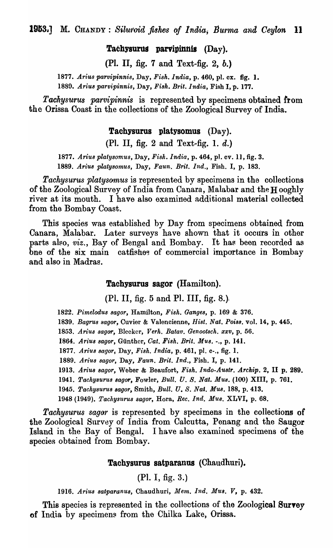Tachysurus parvipinnis  $(Day)$ .

(PI. II, fig. 7 and Text-fig. 2, b.)

*1877. Arius parvipinnis,* Day, *Fish. India,* p. 460, pI. ex. fig. 1. *1889. Arius parvipinnis,* Day. *Fish. Brit. India,* Fish I, p. 177.

*Tacllysurus parvipinnis* is represented by specimens obtained from the Orissa Coast in the collections of the Zoological Survey of India.

Tachysurus platysomus (Day).

(Pl. II, fig. 2 and Text-fig. 1.  $d$ .)

*1877. Arius plalysomus,* Day, *Fi8h. India,* p. 464, pl. ev. 11, fig. 3. *1889. Arius platysomus,* Day, *Faun. Brit. Ind.,* Fish. I, p. 183.

*Tachysurus platysomus* is represented by specimens in the collections of the Zoological Survey of India from Canara, Malabar and the H ooghly river at its mouth. I have also examined additional material collected from the Bombay Coast.

This species was established by Day from specimens obtained from Canara, Malabar. Later surveys have shown that it occurs in other parts also, *viz.*, Bay of Bengal and Bombay. It has been recorded as bne of the six main catfishes of commercial importance in Bombay and also in Madras. .

### Tachysurus sagor (Hamilton).

(PI. II, fig. 5 and PI. III, fig. 8.).

*1822. Pimelodus sagor,* Hamilton, *Fish. Ganges,* p. 169 & 376.

1839. Bagrus sagor, Cuvier & Valencienne, *Hist. Nat. Poiss.* vol. 14, p. 445.

*1853. Arius sagar,* Blecker, *Verh. Batav. Genootsch. xxv,* p. 56.

*1864. Arius sagor,* Gunther, *Oat. Fish. Brit. Mus.* -., p. 141.

*1877. Arius sagor,* Day, *Fish. India,* p. 461, pI. e-., fig. 1.

1889. Arius sagor, Day, Faun. Brit. Ind., Fish. I, p. 141.

*1913. AriuB sagor,* Weber & Beaufort, *Fish. Indo-Austr. Archip.* 2, II p. 289.

1941. *Tachysurus sagor,* Fowler, *Bull.* U. *S.* Nat. *MU8.* (100) XIII, p. 761.

*1945. TaehysuruB sagor,* Smith, *Bull. U. S. Nal. MU8.* IS8, p. 413.

1948 (1949). *Tachysurus sagor*, Hora, *Rec. Ind. Mus.* XLVI, p. 68.

*Tackysurus sagor* is represented by specimens in the collections of the Zoological Survey of India from Calcutta, Penang and the Sangor Island in the Bay of Bengal. I have also examined specimens of the species obtained from Bombay.

## Tachysurus satparanus (Chaudhuri).

(PI. I, fig. 3.)

*1916. Arius 8atparanu8,* Chaudhuri, *Mem. Ind. Mus.* V, p. 432.

This species is represented in the collections of the Zoological Survey of India by specimens from the Chilka Lake, Orissa.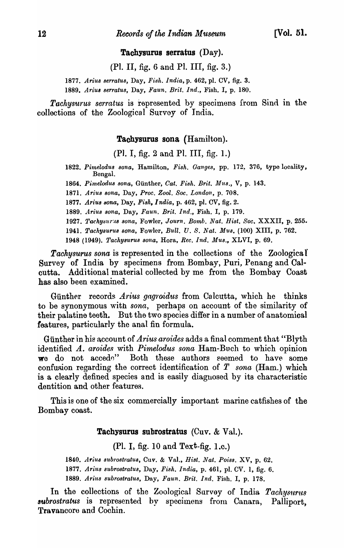### Tachysurus serratus (Day).

(PI. II, fig. 6 and PI. III, fig. 3.)

1877. Arius serratus, Day, Fish. India, p. 462, pl. CV, fig. 3. *1889. Ariu8 8erratu8,* Day, *Faun. Brit. Ind.,* Fish. I, p. 180.

**Tachysurus serratus is represented by specimens from Sind in the** collections of the Zoological Survey of India.

### Tachysurus sona (Hamilton).

(P1. I, fig. 2 and PI. III, fig. 1.)

- 1822. Pimelodus sona, Hamilton, Fish. Ganges, pp. 172, 376, type locality, BengaL
- 1864. Pimelodus sona, Günther, *Cat. Fish. Brit. Mus.*, V, p. 143.
- *1871. Ariu8 sona,* Day, *Proc. Zool. Soc. London,* p. 708.
- 1877. Arius sona, Day, Fish, India, p. 462, pl. CV, fig. 2.
- *1889. Ariu8 8ona,* Day, *Faun. Brit. Ind.,* Fish. I, p. 179.
- 1927. Tachysurus sona, Fowler, *Journ. Bomb. Nat. Hist. Soc. XXXII*, p. 255.
- 1941. *TachY8uru8 8ona,* Fowler, *Bull.* U. S. *Nat. Mu·s.* (100) XIII, p. 762.

1948 (1949). *Tachysurus sona*, Hora, *Rec. Ind. Mus.*, XLVI, p. 69.

Tachysurus sona is represented in the collections of the Zoologica I Survey of India by specimens from Bombay, Puri, Penang and Calcutta. Additional material collected by me from the Bombay Coast has also been examined.

Günther records *Arius gagroidus* from Calcutta, which he thinks to be synonymous with *sona,* perhaps on account of the similarity of their palatine teeth. But the two species differ in a number of anatomical features, particularly the anal fin formula.

Günther in his account of *Arius aroides* adds a final comment that "Blyth" identified *A. aroides* with *Pimelodus sona* Ham-Buch to which opinion we do not accede" Both these authors seemed to have some confusion regarding the correct identification of *T* sona (Ham.) which is a clearly defined species and is easily diagnosed by its characteristic dentition and other features.

This is one of the six commercially important marine catfishes of the Bombay coast.

### Tachysurus subrostratus (Cuv. & Val.).

(PI. I, fig. 10 and Text-fig. I.e.)

1840. *Arius subrostratus*, Cuv. & Val., *Hist. Nat. Poiss.* XV, p. 62. 1877. Arius subrostratus, Day, Fish. India, p. 461, pl. CV. 1, fig. 6. *1889. Ariu8 8ubro8tratu8,* Day, *Faun. Brit. Ind.* Fish. I, p. 178.

In the collections of the Zoological Survey of India *Tachysurus subrostratus* is represented by specimens from Canara, Palliport, Travancore and Cochin.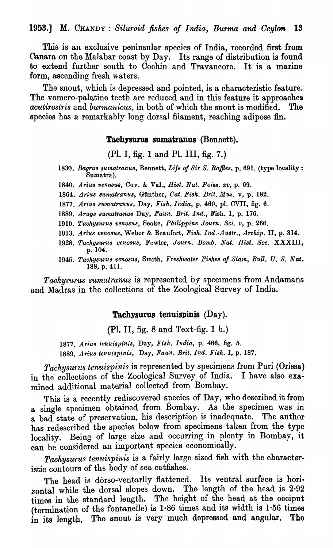1953.] M. CHANDY: *Siluroid fishes of India, Burma and Ceylon* 13

This is an exclusive peninsular species of India, recorded first from Canara on the Malabar coast by Day. Its range of distribution is found to extend further south to Cochin and Travancore. It is a marine form, ascending fresh waters.

The snout, which is depressed and pointed, is a characteristic feature. The vomero-palatine teeth are reduced and in this feature it approaches *acutirostris* and *burmanicus*, in both of which the snout is modified. The species has a remarkably long dorsal filament, reaching adipose fin.

### Tachysurus sumatranus (Bennett).

(Pl. I, fig. 1 and Pl. III, fig. 7.)

- *1830. Bagru8 8umatranU8,* Bennett, *Life of Sir S. Raffle8,* p. 691. (type locality: Sumatra).
- 1840. Arius venosus, Cuv. & Val., *Hist. Nat. Poiss. xv*, p. 69.
- 1864. Arius sumatranus, Günther, Cat. Fish. Brit. Mus. v, p. 182.
- 1877. *Arius sumatranus*, Day, Fish. India, p. 460, pl. CVII, fig. 6.
- *1889. AruY8 8umatranus* Day, *Faun. Brit. Ind.,* Fish. 1, p. 176.
- 1910. Tachysurus venosus, Seake, Philippine Journ. Sci. v, p. 266.
- *1913. Arius ven08UB,* Weber & Beaufort, *FiBk. Ind.-Austr., Archip.* II, p. 314.
- 1928. Tachysurus venosus, Fowler, *Journ. Bomb. Nat. Hist. Soc.* XXXIII, p.l04.
- 1945. Tachysurus venosus, Smith, *Freshwater Fishes of Siam, Bull. U. S. Nat.* 188, p. 411.

*Tachysurus sumatranus* is represented by specimens from Andamans and Madras in the collections of the Zoological Survey of India.

## Tachysurus tenuispinis (Day).

 $(Pl. II, fig. 8 and Text-fig. 1 b.)$ 

1877. Arius tenuispinis, Day, Fish. India, p. 466, fig. 5. 1889. Arius tenuispinis, Day, Faun. Brit. Ind. Fish. I, p. 187.

*Tachysurus tenuispinis* is represented by specimens from Puri (Orissa) in the collections of the Zoological Survey of India. I have also examined additional material collected from Bombay.

This is a recently rediscovered species of Day, who described it from a single specimen obtained from Bombay. As the specimen was in a single specified extended from Domesa, the case of preservation is in the surface. The author has redescribed the species below from specimens taken from the type locality. Being of large size and occurring in plenty in Bombay, it can be considered an important species economically.

Tachysurus tenuispinis is a fairly large sized fish with the characteristic contours of the body of sea catfishes.

The head is dorso-ventarlly flattened. Its ventral surface is horizontal while the dorsal slopes down. The length of the head is 2.92 times in the standard length. The height of the head at the occiput (termination of the fontanelle) is 1·86 times and its width is I-56 times in its length, The snout is very much depressed and angular. The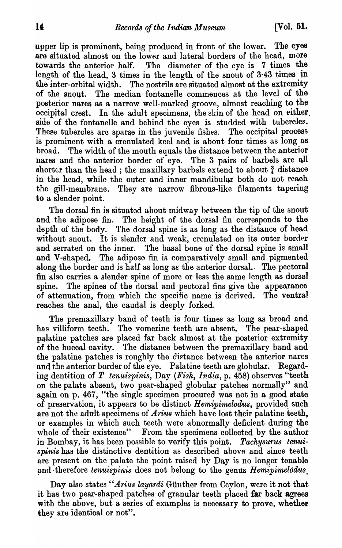upper lip is prominent, being produced in front of the lower. The eyes ara situated almost on the lower and lateral borders of the head, more towards the anterior half. The diameter of the eye is 7 times the length of the head, 3 times in the length of the snout of 3·43 times in the inter-orbital width. The nostrils are situated almost at the extremity of the snout. The median fontanelle commences at the level of the posterior nares as a narrow well-marked groove, almost reaching to the occipital crest. In the adult specimens, the skin of the head on either. side of the fontanelle and behind the eyes is studded with tubercles. These tubercles are sparse in the juvenile fishes. The occipital process is prominent with a crenulated keel and is about four times as long as broad. The width of the mouth equals the distance between the anterior nares and the anterior border of eye. The 3 pairs of barbels are all shorter than the head; the maxillary barbels extend to about  $\frac{3}{4}$  distance in the head, while the outer and inner mandibular both do not reach the gill-membrane. They are narrow fibrous-like filaments tapering to a slender point.

Tho dorsal fin is situated about midway hetween the tip of the snout and the adipose fin. The height of the dorsal fin corresponds to the depth of the body. The dorsal spine is as long as the distance of head without snout. It is slender and weak, crenulated on its outer border and serrated on the inner. The basal bone of the dorsal spine is small and V-shaped. The adipose fin is comparatively small and pigmented along the border and is half as long as the anterior dorsal. The pectoral fin also carries a slender spine of morc or less the same length as dorsal spine. The spines of the dorsal and pectoral fins give the appearance of attenuation, from which the specific name is derived. The ventral reaches the anal, the caudal is deeply forked.

The premaxillary band of teeth is four times as long as broad and has villiform teeth. The vomerine teeth are absent. The pear-shaped palatine patches are placed far back almost at the posterior extremity of the buccal cavity. The distance between the premaxillary band and the palatine patches is roughly the distance between the anterior nares and the anterior border of the eye. Palatine teeth are globular. Regarding dentition of *T tenuispinis,* Day *(Fish, India,* p. 458) observes "teeth on the palate absent, two pear-shaped globular patches normally" and again on p. 467, "the single specimen procured was not in a good state of preservation, it appears to be distinct *Hemipimelodus*, provided such are not the adult specimens of *Arius* which have lost their palatine teeth, or examples in which such teeth were abnormally deficient during the whole of their existence" From the specimens collected by the author in Bombay, it has been possible to verify this point. Tachysurus tenui*spinis* has the distinctive dentition as described above and since teeth are present on the palate the point raised by Day is no longer tenable and therefore *tenuispinis* does not belong to the genus *Hemipimelodus*.

Day also states *'Arius layardi* Günther from Ceylon, were it not that it has two pear-shaped patches of granular teeth placed far back agrees with the above, but a series of examples is necessary to prove, whether they are identical or not".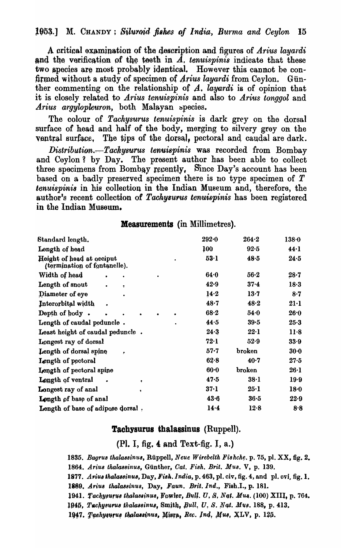A critical examination of the description and figures of *Arius layardi* and the verification of the teeth in  $A$ , tenuispinis indicate that these two species are most probably identical. However this cannot be confirmed without a study of specimen of *Arius layardi* from Ceylon. Günther commenting on the relationship of  $A$ , *layardi* is of opinion that it is closely related to *Arius tenuispinis* and also to *Arius tonggol* and *Arius argylopleuron*, both Malayan species.

The colour of *Tachysurus tenuispinis* is dark grey on the dorsal surface of head and half of the body, merging to silvery grey on the ventral surface. The tips of the dorsal, pectoral and caudal are dark.

*Distribution.*-*Tachysurus tenuispinis* was recorded from Bombay and Ceylon? by Day. The present author has been able to collect three specimens from Bombay recently, Since Day's account has been based on a badly preserved specimen' there is no type specimen of *T tenuispinis* in his colleotion in the Indian Museum and, therefore, the author's recent collection of Tachysurus tenuispinis has been registered in the Indian Museum.

### Measurements (in Millimetres).

| Standard length.                                          | $292 - 0$ | 264.2    | $138 - 0$ |
|-----------------------------------------------------------|-----------|----------|-----------|
| Length of head                                            | 100       | 92.5     | 44.1      |
| Height of head at occiput<br>(termination of fontanelle). | 53.1      | 48.5     | 24.5      |
| Width of head                                             | 64.0      | $56-2$   | $28 - 7$  |
| Length of snout<br>$\bullet$<br>٠                         | 42.9      | $37 - 4$ | 18.3      |
| Diameter of eye                                           | 14.2      | 13.7     | 8.7       |
| Interorbital width<br>$\bullet$                           | 48.7      | 48.2     | $21-1$    |
| Depth of body.                                            | $68 - 2$  | 54.0     | 26.0      |
| Length of caudal peduncle.                                | 44.5      | $39 - 5$ | $25 - 3$  |
| Least height of caudal peduncle.                          | 24.3      | 22.1     | $11-8$    |
| Longest ray of dorsal                                     | 72.1      | $52-9$   | 33.9      |
| Length of dorsal spine<br>٠                               | $57 - 7$  | broken   | $30-0$    |
| Length of pectoral                                        | 62.8      | 40.7     | 27·5      |
| Length of pectoral spine                                  | $60-0$    | broken   | 26·1      |
| Length of ventral<br>٠                                    | 47.5      | $38-1$   | 19.9      |
| Longest ray of anal                                       | $37-1$    | 25·1     | 18.0      |
| Length of base of anal                                    | 43.6      | 36.5     | $22 - 9$  |
| Length of base of adipose dorsal.                         | 14.4      | 12.8     | 8.8       |

## Tachysurus thalassinus (Ruppell).

(Pl. I, fig.  $4$  and Text-fig. I, a.)

1835. Bagrus thalassinus, Rüppell, *Neue Wirebelth Fishche*. p. 75, pl. XX, fig. 2.

*1864. Ariua tkalaBBinuB,* Gunther, *Cat. Fieh. Brit. MUB.* V, p. 139.

1877. Arius thalassinus, Day, Fish. India, p. 463, pl. civ, fig. 4, and pl. ovi, fig. 1.

1889. Arius thalassinus, Day, Faun. Brit. Ind., Fish.I., p. 181.

1941. Tachysurus thalassinus, Fowler, Bull. U. S. Nat. Mus. (100) XIII, p. 764.

1945, Tachysurus thalassinus, Smith, Bull. U. S. Nat. Mus. 188, p. 413.

1947. Tachysurus thalassinus, Misra, Rec. Ind. Mus. XLV, p. 125.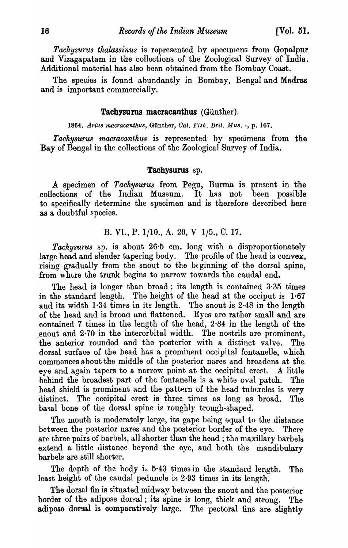*Tachysurus thalassinus* is represented by specImens from Gopalpur and Vizagapatam in the collections of the Zoological Survey of India. Additional material has also been obtained from the Bombay Coast.

The species is found abundantly in Bombay, Bengal and Madras and is important commercially.

### Tachysurus macracanthus (Günther).

1864. Arius macracanthus, Günther, Cat. Fish. Brit. Mus. -, p. 167.

*Tachysurus macracanthus* is represented' by specimens from the Bay of Bengal in the collections of the Zoological Survey of India.

#### Tachysurus sp.

A specimen of *Tachysurus* from Pegu, Burma is present in the collections of the Indian Museum. It has not been possible to specifically determine the specimen and is therefore deecribed here as a doubtful species.

B. VI., P. 
$$
1/10
$$
, A. 20, V  $1/5$ , C. 17.

*Tachysurus* sp. is about 26·5 cm. long with a disproportionately large head and slender tapering body. The profile of the head is convex, rising gradually from the snout to the beginning of the dorsal spine, from where the trunk begins to narrow towards the caudal end.

The head is longer than broad; its length is contained 3·35 times in the standard length. The height of the head at the occiput is  $1.67$ and its width  $1.34$  times in its length. The snout is  $2.48$  in the length of the head and is broad and flattened. Eyes are rather &mall and are contained 7 times in the length of the head, 2 ·84 in the length of the enout and  $2.70$  in the interorbital width. The nostrils are prominent, the anterior rounded and the posterior with a distinct valve. The dorsal surface of the head has a prominent occipital fontanelle, which commences about the middle of the posterior nares and broadens at the eye and again tapers to a narrow point at the occipital crest. A little behind the broadest part of the fontanelle is a white oval patch. The head shield is prominent and the pattern of the head tubercles is very distinct. The occipital crest is three times as long as broad. The basal bone of the dorsal spine is roughly trough-shaped.

Tho mouth is moderately large, its gape being equal to the distance between the posterior nares and the posterior border of the eye. There are three pairs of barbels, all shorter than the head; the maxillary barbels extend a little distance beyond the eye, and both the mandibulary barbels are still shorter.

The depth of the body is 5.43 times in the standard length. The least height of the caudal peduncle is  $2.93$  times in its length.

The dorsal fin is situated midway between the snout and the posterior border of the adipose dorsal; its spine is long, thick and strong. The adipose dorsal is comparatively large. The pectoral fins are slightly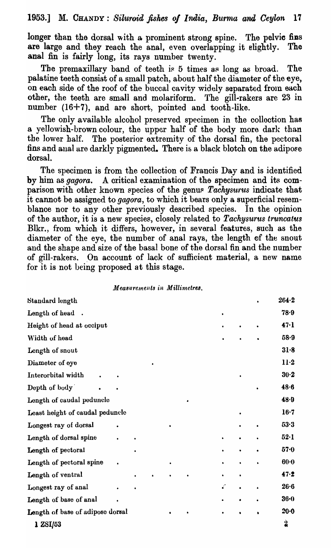longer than the dorsal with a prominent strong spine. The pelvic fins are large and they reach the anal, even overlapping it slightly. The anal fin is fairly long, its rays number twenty.

The premaxillary band of teeth is  $5$  times as long as broad. The palatine teeth consist of a small patch, about half the diameter of the eye, on each side of the roof of the buccal cavity widely separated from each other, the teeth are small and molariform. The gill-rakers are 23 in number (16+7), and are short, pointed and tooth-like.

The only available alcohol preserved specimen in the collection has a yellowish-brown colour, the upper half of the body more dark than the lower half. The posterior extremity of the dorsal fin, the pectoral fins and anal are darkly pigmented. There is a black blotch on the adipose dorsal.

The specimen is from the collection of Francis Day and is identified by him as *gagora.* A critical examination of the specimen and its comparison with other known species of the genus *Tachysurus* indicate that it cannot be assigned to *gagora,* to which it bears only a superficial resemblance nor to any other previously described species. In the opinion of the author, it is a new species, closely related to *Tachysurus truncatus* Blkr., from which it differs, however, in several features, such as the diameter of the eye, the number of anal rays, the length of the snout and the shape and size of the basal bone of the dorsal fin and the number of gill-rakers. On account of lack of sufficient material, a new name for it is not being proposed at this stage.

#### *Measurements in Millimetres.*

| Standard length                  |           |  |           |           |   | $264 - 2$ |
|----------------------------------|-----------|--|-----------|-----------|---|-----------|
| Length of head.                  |           |  |           | $\bullet$ |   | 78.9      |
| Height of head at occiput        |           |  |           |           |   | 47·1      |
| Width of head                    |           |  |           |           |   | 58.9      |
| Length of snout                  |           |  |           |           |   | 31.8      |
| Diameter of eye                  |           |  |           |           |   | $11-2$    |
| Interorbital width               |           |  |           |           |   | $30-2$    |
| Depth of body                    |           |  |           |           |   | 48.6      |
| Longth of caudal peduncle        |           |  | $\bullet$ |           |   | 48.9      |
| Least height of caudal peduncle  |           |  |           |           |   | $16-7$    |
| Longest ray of dorsal            |           |  |           |           |   | 53.3      |
| Length of dorsal spine           |           |  |           |           |   | $52-1$    |
| Length of pectoral               |           |  |           |           |   | 57.0      |
| Length of pectoral spine         | $\bullet$ |  |           |           |   | $60-0$    |
| Length of ventral                |           |  |           |           | ٠ | 47.2      |
| Longest ray of anal              |           |  |           | č         |   | 26.6      |
| Length of base of anal           |           |  |           |           |   | $36 - 0$  |
| Length of base of adipose dorsal |           |  |           |           |   | 20.0      |
| 1 ZSI/53                         |           |  |           |           |   | 2         |